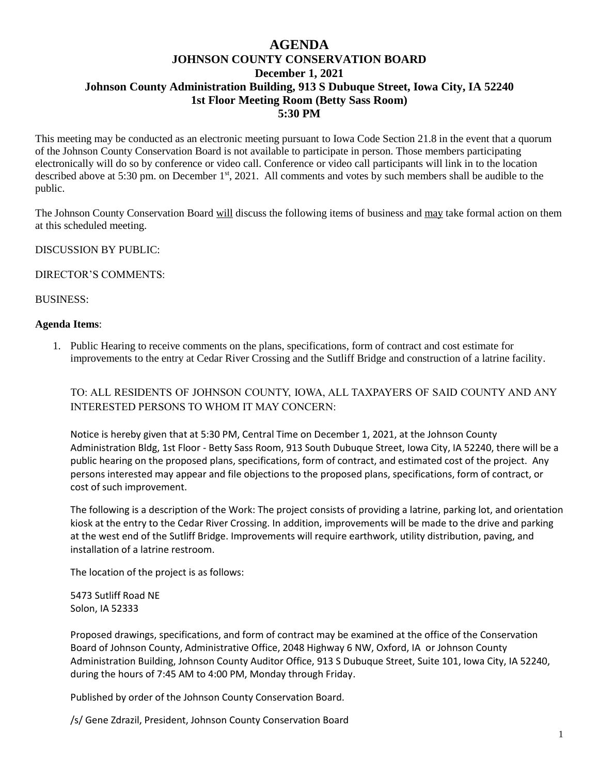## **AGENDA JOHNSON COUNTY CONSERVATION BOARD December 1, 2021 Johnson County Administration Building, 913 S Dubuque Street, Iowa City, IA 52240 1st Floor Meeting Room (Betty Sass Room) 5:30 PM**

This meeting may be conducted as an electronic meeting pursuant to Iowa Code Section 21.8 in the event that a quorum of the Johnson County Conservation Board is not available to participate in person. Those members participating electronically will do so by conference or video call. Conference or video call participants will link in to the location described above at 5:30 pm. on December 1<sup>st</sup>, 2021. All comments and votes by such members shall be audible to the public.

The Johnson County Conservation Board will discuss the following items of business and may take formal action on them at this scheduled meeting.

DISCUSSION BY PUBLIC:

DIRECTOR'S COMMENTS:

BUSINESS:

## **Agenda Items**:

1. Public Hearing to receive comments on the plans, specifications, form of contract and cost estimate for improvements to the entry at Cedar River Crossing and the Sutliff Bridge and construction of a latrine facility.

TO: ALL RESIDENTS OF JOHNSON COUNTY, IOWA, ALL TAXPAYERS OF SAID COUNTY AND ANY INTERESTED PERSONS TO WHOM IT MAY CONCERN:

Notice is hereby given that at 5:30 PM, Central Time on December 1, 2021, at the Johnson County Administration Bldg, 1st Floor - Betty Sass Room, 913 South Dubuque Street, Iowa City, IA 52240, there will be a public hearing on the proposed plans, specifications, form of contract, and estimated cost of the project. Any persons interested may appear and file objections to the proposed plans, specifications, form of contract, or cost of such improvement.

The following is a description of the Work: The project consists of providing a latrine, parking lot, and orientation kiosk at the entry to the Cedar River Crossing. In addition, improvements will be made to the drive and parking at the west end of the Sutliff Bridge. Improvements will require earthwork, utility distribution, paving, and installation of a latrine restroom.

The location of the project is as follows:

5473 Sutliff Road NE Solon, IA 52333

Proposed drawings, specifications, and form of contract may be examined at the office of the Conservation Board of Johnson County, Administrative Office, 2048 Highway 6 NW, Oxford, IA or Johnson County Administration Building, Johnson County Auditor Office, 913 S Dubuque Street, Suite 101, Iowa City, IA 52240, during the hours of 7:45 AM to 4:00 PM, Monday through Friday.

Published by order of the Johnson County Conservation Board.

/s/ Gene Zdrazil, President, Johnson County Conservation Board